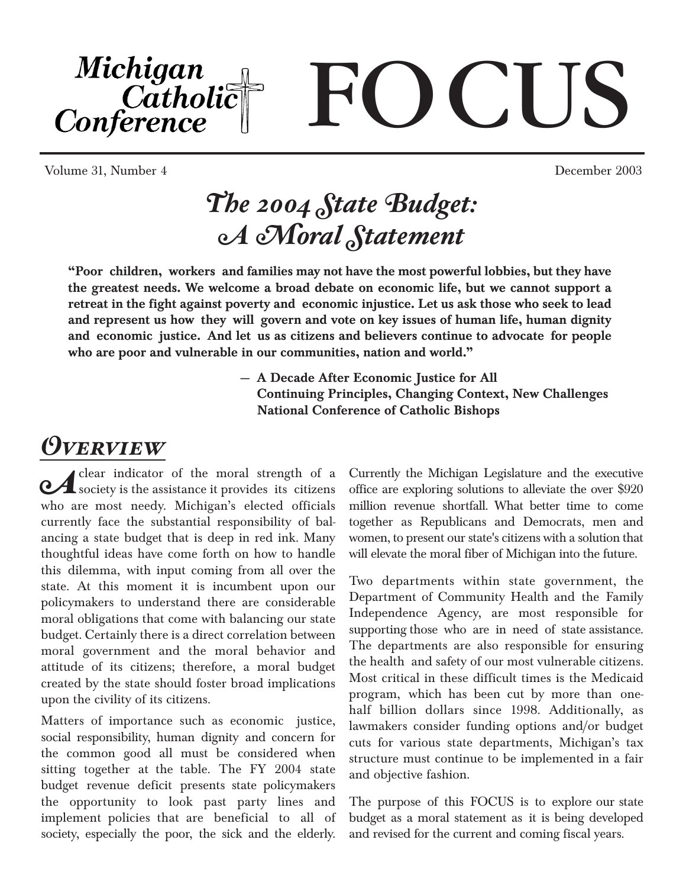Michigan CIS **Examplement**<br>Conference

Volume 31, Number 4 December 2003

# *The 2004 State Budget: A Moral Statement*

"Poor children, workers and families may not have the most powerful lobbies, but they have the greatest needs. We welcome a broad debate on economic life, but we cannot support a retreat in the fight against poverty and economic injustice. Let us ask those who seek to lead and represent us how they will govern and vote on key issues of human life, human dignity and economic justice. And let us as citizens and believers continue to advocate for people who are poor and vulnerable in our communities, nation and world."

> — A Decade After Economic Justice for All Continuing Principles, Changing Context, New Challenges National Conference of Catholic Bishops

# *Overview*

**A** clear indicator of the moral strength of a society is the assistance it provides its citizens who are most needy. Michigan's elected officials currently face the substantial responsibility of balancing a state budget that is deep in red ink. Many thoughtful ideas have come forth on how to handle this dilemma, with input coming from all over the state. At this moment it is incumbent upon our policymakers to understand there are considerable moral obligations that come with balancing our state budget. Certainly there is a direct correlation between moral government and the moral behavior and attitude of its citizens; therefore, a moral budget created by the state should foster broad implications upon the civility of its citizens.

Matters of importance such as economic justice, social responsibility, human dignity and concern for the common good all must be considered when sitting together at the table. The FY 2004 state budget revenue deficit presents state policymakers the opportunity to look past party lines and implement policies that are beneficial to all of society, especially the poor, the sick and the elderly.

Currently the Michigan Legislature and the executive office are exploring solutions to alleviate the over \$920 million revenue shortfall. What better time to come together as Republicans and Democrats, men and women, to present our state's citizens with a solution that will elevate the moral fiber of Michigan into the future.

Two departments within state government, the Department of Community Health and the Family Independence Agency, are most responsible for supporting those who are in need of state assistance. The departments are also responsible for ensuring the health and safety of our most vulnerable citizens. Most critical in these difficult times is the Medicaid program, which has been cut by more than onehalf billion dollars since 1998. Additionally, as lawmakers consider funding options and/or budget cuts for various state departments, Michigan's tax structure must continue to be implemented in a fair and objective fashion.

The purpose of this FOCUS is to explore our state budget as a moral statement as it is being developed and revised for the current and coming fiscal years.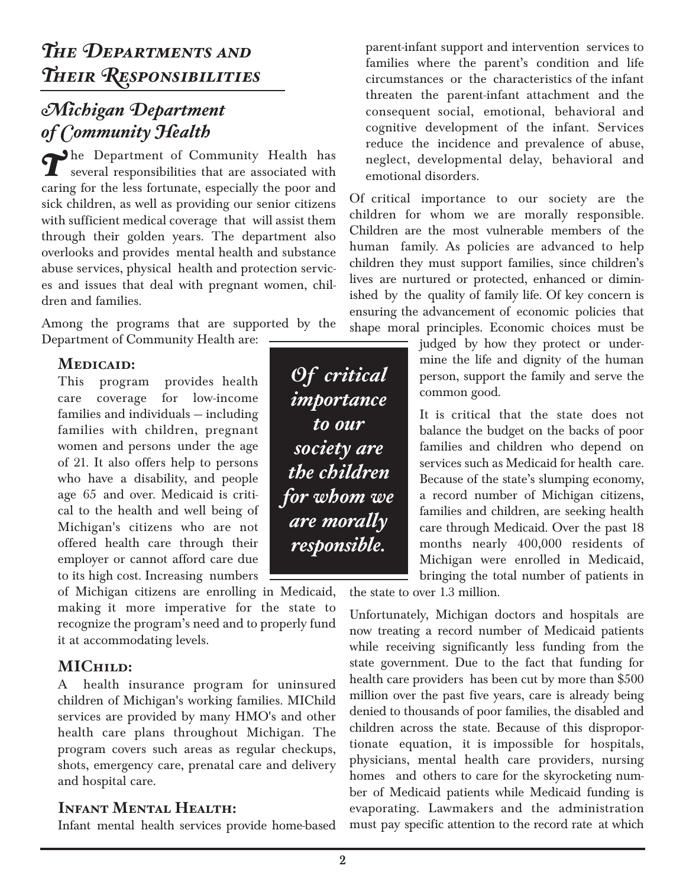## *Michigan Department of Community Health*

The Department of Community Health has several responsibilities that are associated with caring for the less fortunate, especially the poor and sick children, as well as providing our senior citizens with sufficient medical coverage that will assist them through their golden years. The department also overlooks and provides mental health and substance abuse services, physical health and protection services and issues that deal with pregnant women, children and families.

Among the programs that are supported by the Department of Community Health are:

#### **Medicaid:**

This program provides health care coverage for low-income families and individuals — including families with children, pregnant women and persons under the age of 21. It also offers help to persons who have a disability, and people age 65 and over. Medicaid is critical to the health and well being of Michigan's citizens who are not offered health care through their employer or cannot afford care due to its high cost. Increasing numbers

of Michigan citizens are enrolling in Medicaid, making it more imperative for the state to recognize the program's need and to properly fund it at accommodating levels.

#### **MIChild:**

A health insurance program for uninsured children of Michigan's working families. MIChild services are provided by many HMO's and other health care plans throughout Michigan. The program covers such areas as regular checkups, shots, emergency care, prenatal care and delivery and hospital care.

#### **Infant Mental Health:**

Infant mental health services provide home-based

parent-infant support and intervention services to families where the parent's condition and life circumstances or the characteristics of the infant threaten the parent-infant attachment and the consequent social, emotional, behavioral and cognitive development of the infant. Services reduce the incidence and prevalence of abuse, neglect, developmental delay, behavioral and emotional disorders.

Of critical importance to our society are the children for whom we are morally responsible. Children are the most vulnerable members of the human family. As policies are advanced to help children they must support families, since children's lives are nurtured or protected, enhanced or diminished by the quality of family life. Of key concern is ensuring the advancement of economic policies that shape moral principles. Economic choices must be

> judged by how they protect or undermine the life and dignity of the human person, support the family and serve the common good.

> It is critical that the state does not balance the budget on the backs of poor families and children who depend on services such as Medicaid for health care. Because of the state's slumping economy, a record number of Michigan citizens, families and children, are seeking health care through Medicaid. Over the past 18 months nearly 400,000 residents of Michigan were enrolled in Medicaid, bringing the total number of patients in

the state to over 1.3 million.

Unfortunately, Michigan doctors and hospitals are now treating a record number of Medicaid patients while receiving significantly less funding from the state government. Due to the fact that funding for health care providers has been cut by more than \$500 million over the past five years, care is already being denied to thousands of poor families, the disabled and children across the state. Because of this disproportionate equation, it is impossible for hospitals, physicians, mental health care providers, nursing homes and others to care for the skyrocketing number of Medicaid patients while Medicaid funding is evaporating. Lawmakers and the administration must pay specific attention to the record rate at which

*Of critical importance to our society are the children for whom we are morally responsible.*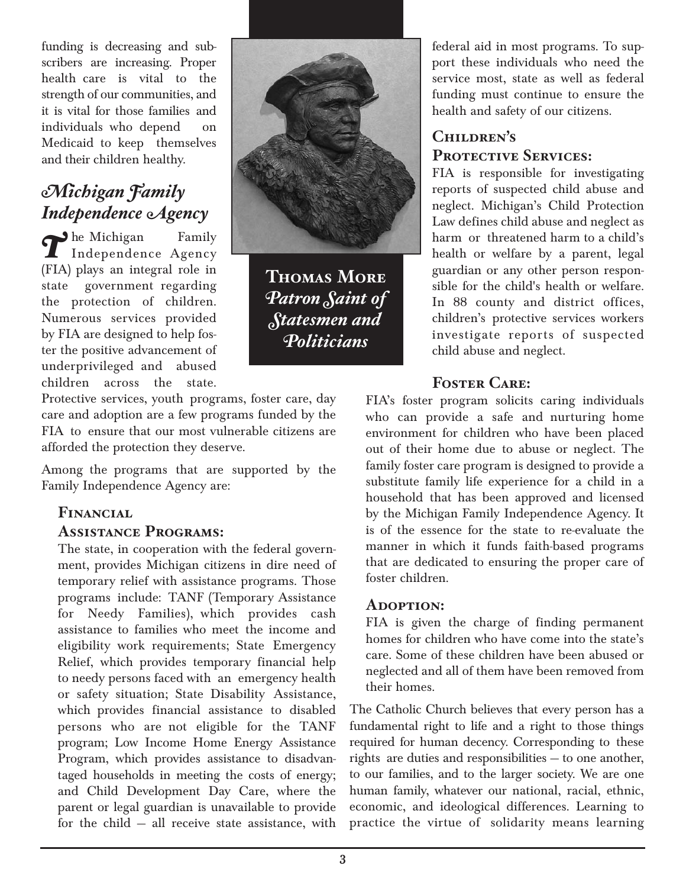funding is decreasing and subscribers are increasing. Proper health care is vital to the strength of our communities, and it is vital for those families and individuals who depend on Medicaid to keep themselves and their children healthy.

## *Michigan Family Independence Agency*

The Michigan Family<br>
Independence Agency (FIA) plays an integral role in state government regarding the protection of children. Numerous services provided by FIA are designed to help foster the positive advancement of underprivileged and abused children across the state.

Protective services, youth programs, foster care, day care and adoption are a few programs funded by the FIA to ensure that our most vulnerable citizens are afforded the protection they deserve.

Among the programs that are supported by the Family Independence Agency are:

#### **Financial Assistance Programs:**

The state, in cooperation with the federal government, provides Michigan citizens in dire need of temporary relief with assistance programs. Those programs include: TANF (Temporary Assistance for Needy Families), which provides cash assistance to families who meet the income and eligibility work requirements; State Emergency Relief, which provides temporary financial help to needy persons faced with an emergency health or safety situation; State Disability Assistance, which provides financial assistance to disabled persons who are not eligible for the TANF program; Low Income Home Energy Assistance Program, which provides assistance to disadvantaged households in meeting the costs of energy; and Child Development Day Care, where the parent or legal guardian is unavailable to provide for the child — all receive state assistance, with



**Thomas More** *Patron Saint of Statesmen and Politicians*

federal aid in most programs. To support these individuals who need the service most, state as well as federal funding must continue to ensure the health and safety of our citizens.

### **Children's**  PROTECTIVE SERVICES:

FIA is responsible for investigating reports of suspected child abuse and neglect. Michigan's Child Protection Law defines child abuse and neglect as harm or threatened harm to a child's health or welfare by a parent, legal guardian or any other person responsible for the child's health or welfare. In 88 county and district offices, children's protective services workers investigate reports of suspected child abuse and neglect.

### **Foster Care:**

FIA's foster program solicits caring individuals who can provide a safe and nurturing home environment for children who have been placed out of their home due to abuse or neglect. The family foster care program is designed to provide a substitute family life experience for a child in a household that has been approved and licensed by the Michigan Family Independence Agency. It is of the essence for the state to re-evaluate the manner in which it funds faith-based programs that are dedicated to ensuring the proper care of foster children.

#### **Adoption:**

FIA is given the charge of finding permanent homes for children who have come into the state's care. Some of these children have been abused or neglected and all of them have been removed from their homes.

The Catholic Church believes that every person has a fundamental right to life and a right to those things required for human decency. Corresponding to these rights are duties and responsibilities — to one another, to our families, and to the larger society. We are one human family, whatever our national, racial, ethnic, economic, and ideological differences. Learning to practice the virtue of solidarity means learning